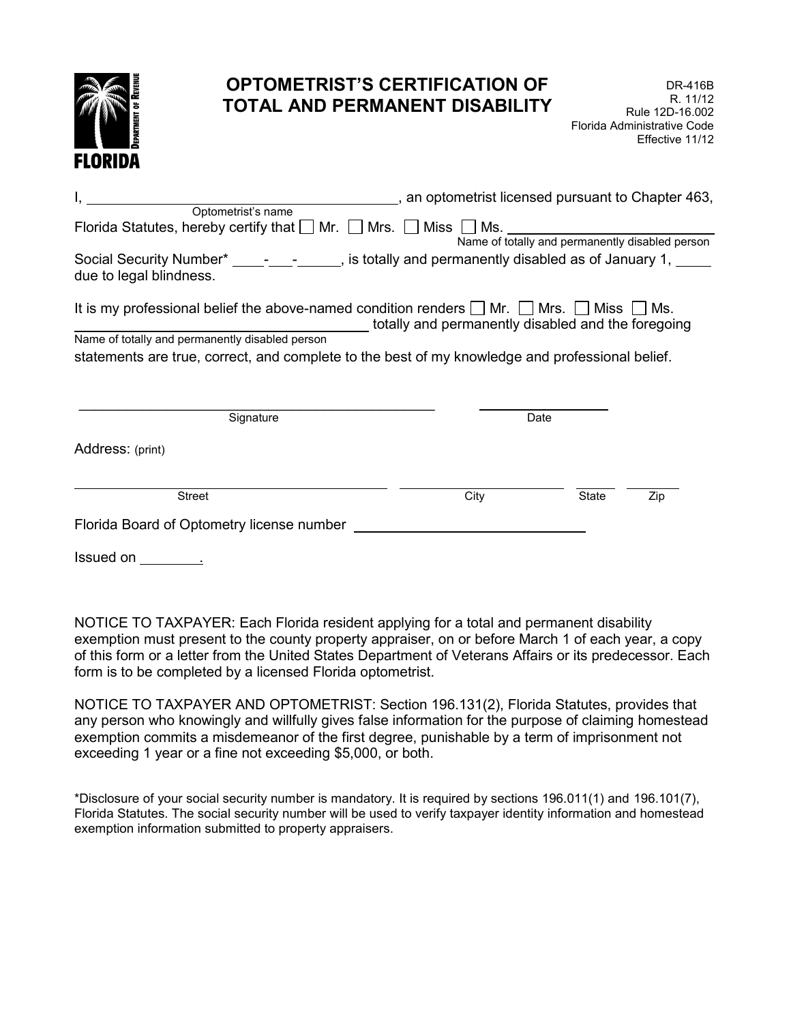

## **OPTOMETRIST'S CERTIFICATION OF TOTAL AND PERMANENT DISABILITY**

|                                                                                                                                 |                                                    | , an optometrist licensed pursuant to Chapter 463, |     |  |
|---------------------------------------------------------------------------------------------------------------------------------|----------------------------------------------------|----------------------------------------------------|-----|--|
| Optometrist's name                                                                                                              |                                                    |                                                    |     |  |
| Florida Statutes, hereby certify that $\Box$ Mr. $\Box$ Mrs. $\Box$ Miss $\Box$ Ms.                                             |                                                    |                                                    |     |  |
|                                                                                                                                 | Name of totally and permanently disabled person    |                                                    |     |  |
| Social Security Number* 1. 1.1 - 1.1 - 1.1 . is totally and permanently disabled as of January 1, 1.<br>due to legal blindness. |                                                    |                                                    |     |  |
| It is my professional belief the above-named condition renders $\Box$ Mr. $\Box$ Mrs. $\Box$ Miss $\Box$ Ms.                    | totally and permanently disabled and the foregoing |                                                    |     |  |
| Name of totally and permanently disabled person                                                                                 |                                                    |                                                    |     |  |
| statements are true, correct, and complete to the best of my knowledge and professional belief.                                 |                                                    |                                                    |     |  |
|                                                                                                                                 |                                                    |                                                    |     |  |
| Signature                                                                                                                       | Date                                               |                                                    |     |  |
| Address: (print)                                                                                                                |                                                    |                                                    |     |  |
| <b>Street</b>                                                                                                                   | City                                               | <b>State</b>                                       | Zip |  |
| Florida Board of Optometry license number                                                                                       |                                                    |                                                    |     |  |

Issued on \_\_\_\_\_\_\_\_\_\_.

NOTICE TO TAXPAYER: Each Florida resident applying for a total and permanent disability exemption must present to the county property appraiser, on or before March 1 of each year, a copy of this form or a letter from the United States Department of Veterans Affairs or its predecessor. Each form is to be completed by a licensed Florida optometrist.

NOTICE TO TAXPAYER AND OPTOMETRIST: Section 196.131(2), Florida Statutes, provides that any person who knowingly and willfully gives false information for the purpose of claiming homestead exemption commits a misdemeanor of the first degree, punishable by a term of imprisonment not exceeding 1 year or a fine not exceeding \$5,000, or both.

\*Disclosure of your social security number is mandatory. It is required by sections 196.011(1) and 196.101(7), Florida Statutes. The social security number will be used to verify taxpayer identity information and homestead exemption information submitted to property appraisers.